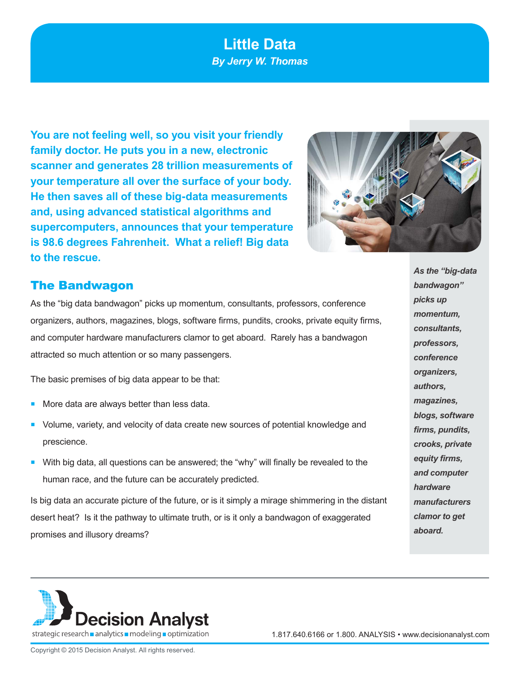# **Little Data** *By Jerry W. Thomas*

**You are not feeling well, so you visit your friendly family doctor. He puts you in a new, electronic scanner and generates 28 trillion measurements of your temperature all over the surface of your body. He then saves all of these big-data measurements and, using advanced statistical algorithms and supercomputers, announces that your temperature is 98.6 degrees Fahrenheit. What a relief! Big data to the rescue.**



### The Bandwagon

As the "big data bandwagon" picks up momentum, consultants, professors, conference organizers, authors, magazines, blogs, software firms, pundits, crooks, private equity firms, and computer hardware manufacturers clamor to get aboard. Rarely has a bandwagon attracted so much attention or so many passengers.

The basic premises of big data appear to be that:

- More data are always better than less data.
- Volume, variety, and velocity of data create new sources of potential knowledge and prescience.
- **With big data, all questions can be answered; the "why" will finally be revealed to the** human race, and the future can be accurately predicted.

Is big data an accurate picture of the future, or is it simply a mirage shimmering in the distant desert heat? Is it the pathway to ultimate truth, or is it only a bandwagon of exaggerated promises and illusory dreams?

*As the "big-data bandwagon" picks up momentum, consultants, professors, conference organizers, authors, magazines, blogs, software firms, pundits, crooks, private equity firms, and computer hardware manufacturers clamor to get aboard.* 



1.817.640.6166 or 1.800. ANALYSIS • www.decisionanalyst.com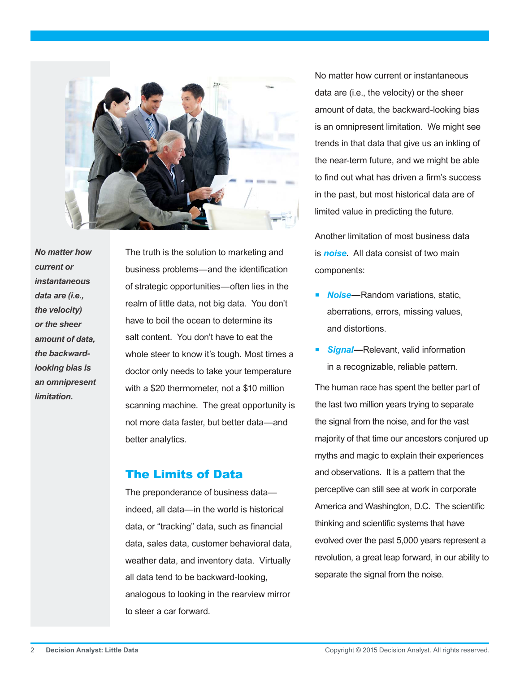

*No matter how current or instantaneous data are (i.e., the velocity) or the sheer amount of data, the backwardlooking bias is an omnipresent limitation.* 

The truth is the solution to marketing and business problems—and the identification of strategic opportunities—often lies in the realm of little data, not big data. You don't have to boil the ocean to determine its salt content. You don't have to eat the whole steer to know it's tough. Most times a doctor only needs to take your temperature with a \$20 thermometer, not a \$10 million scanning machine. The great opportunity is not more data faster, but better data—and better analytics.

### The Limits of Data

The preponderance of business data indeed, all data—in the world is historical data, or "tracking" data, such as financial data, sales data, customer behavioral data, weather data, and inventory data. Virtually all data tend to be backward-looking, analogous to looking in the rearview mirror to steer a car forward.

No matter how current or instantaneous data are (i.e., the velocity) or the sheer amount of data, the backward-looking bias is an omnipresent limitation. We might see trends in that data that give us an inkling of the near-term future, and we might be able to find out what has driven a firm's success in the past, but most historical data are of limited value in predicting the future.

Another limitation of most business data is *noise*. All data consist of two main components:

- **Noise**—Random variations, static, aberrations, errors, missing values, and distortions.
- **Signal—**Relevant, valid information in a recognizable, reliable pattern.

The human race has spent the better part of the last two million years trying to separate the signal from the noise, and for the vast majority of that time our ancestors conjured up myths and magic to explain their experiences and observations. It is a pattern that the perceptive can still see at work in corporate America and Washington, D.C. The scientific thinking and scientific systems that have evolved over the past 5,000 years represent a revolution, a great leap forward, in our ability to separate the signal from the noise.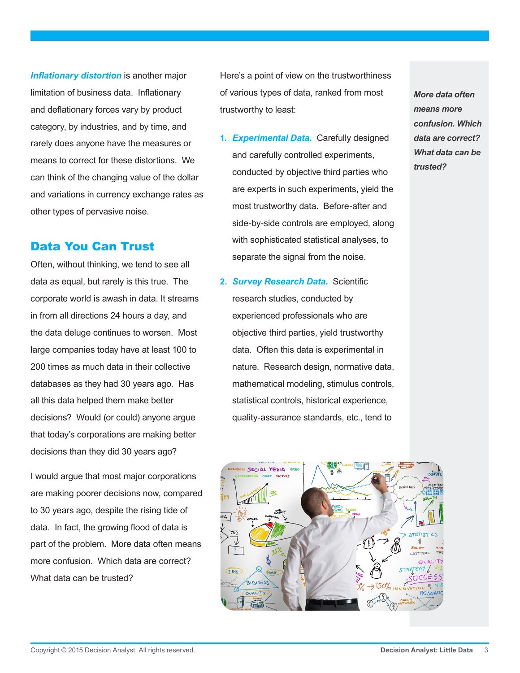*Inflationary distortion* is another major limitation of business data. Inflationary and deflationary forces vary by product category, by industries, and by time, and rarely does anyone have the measures or means to correct for these distortions. We can think of the changing value of the dollar and variations in currency exchange rates as other types of pervasive noise.

### Data You Can Trust

Often, without thinking, we tend to see all data as equal, but rarely is this true. The corporate world is awash in data. It streams in from all directions 24 hours a day, and the data deluge continues to worsen. Most large companies today have at least 100 to 200 times as much data in their collective databases as they had 30 years ago. Has all this data helped them make better decisions? Would (or could) anyone argue that today's corporations are making better decisions than they did 30 years ago?

I would argue that most major corporations are making poorer decisions now, compared to 30 years ago, despite the rising tide of data. In fact, the growing flood of data is part of the problem. More data often means more confusion. Which data are correct? What data can be trusted?

Here's a point of view on the trustworthiness of various types of data, ranked from most trustworthy to least:

- **1.** *Experimental Data.* Carefully designed and carefully controlled experiments, conducted by objective third parties who are experts in such experiments, yield the most trustworthy data. Before-after and side-by-side controls are employed, along with sophisticated statistical analyses, to separate the signal from the noise.
- **2.** *Survey Research Data.* Scientific research studies, conducted by experienced professionals who are objective third parties, yield trustworthy data. Often this data is experimental in nature. Research design, normative data, mathematical modeling, stimulus controls, statistical controls, historical experience, quality-assurance standards, etc., tend to



*More data often means more confusion. Which data are correct? What data can be trusted?*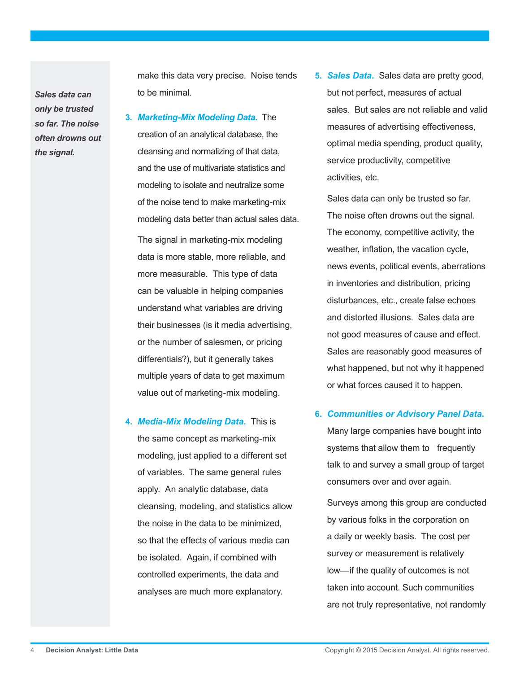*Sales data can only be trusted so far. The noise often drowns out the signal.* 

make this data very precise. Noise tends to be minimal.

**3.** *Marketing-Mix Modeling Data.* The creation of an analytical database, the cleansing and normalizing of that data, and the use of multivariate statistics and modeling to isolate and neutralize some of the noise tend to make marketing-mix modeling data better than actual sales data.

The signal in marketing-mix modeling data is more stable, more reliable, and more measurable. This type of data can be valuable in helping companies understand what variables are driving their businesses (is it media advertising, or the number of salesmen, or pricing differentials?), but it generally takes multiple years of data to get maximum value out of marketing-mix modeling.

**4.** *Media-Mix Modeling Data.* This is the same concept as marketing-mix modeling, just applied to a different set of variables. The same general rules apply. An analytic database, data cleansing, modeling, and statistics allow the noise in the data to be minimized, so that the effects of various media can be isolated. Again, if combined with controlled experiments, the data and analyses are much more explanatory.

**5.** *Sales Data.* Sales data are pretty good, but not perfect, measures of actual sales. But sales are not reliable and valid measures of advertising effectiveness, optimal media spending, product quality, service productivity, competitive activities, etc.

Sales data can only be trusted so far. The noise often drowns out the signal. The economy, competitive activity, the weather, inflation, the vacation cycle, news events, political events, aberrations in inventories and distribution, pricing disturbances, etc., create false echoes and distorted illusions. Sales data are not good measures of cause and effect. Sales are reasonably good measures of what happened, but not why it happened or what forces caused it to happen.

#### **6.** *Communities or Advisory Panel Data.*

Many large companies have bought into systems that allow them to frequently talk to and survey a small group of target consumers over and over again.

Surveys among this group are conducted by various folks in the corporation on a daily or weekly basis. The cost per survey or measurement is relatively low—if the quality of outcomes is not taken into account. Such communities are not truly representative, not randomly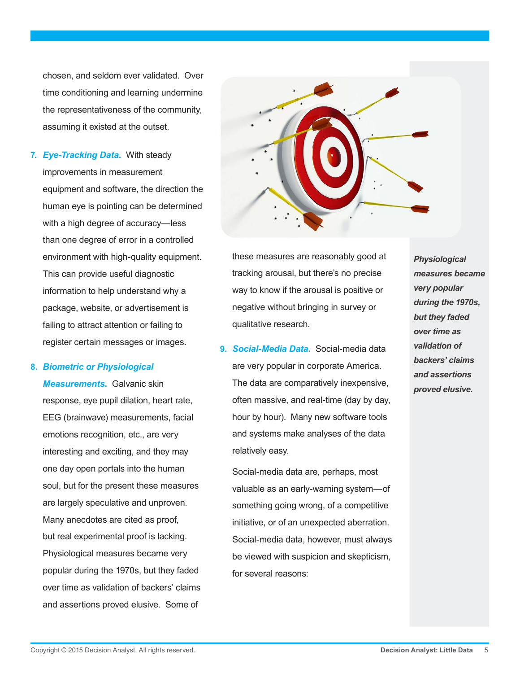chosen, and seldom ever validated. Over time conditioning and learning undermine the representativeness of the community, assuming it existed at the outset.

**7.** *Eye-Tracking Data.* With steady improvements in measurement equipment and software, the direction the human eye is pointing can be determined with a high degree of accuracy—less than one degree of error in a controlled environment with high-quality equipment. This can provide useful diagnostic information to help understand why a package, website, or advertisement is failing to attract attention or failing to register certain messages or images.

#### **8.** *Biometric or Physiological*

*Measurements.* Galvanic skin response, eye pupil dilation, heart rate, EEG (brainwave) measurements, facial emotions recognition, etc., are very interesting and exciting, and they may one day open portals into the human soul, but for the present these measures are largely speculative and unproven. Many anecdotes are cited as proof, but real experimental proof is lacking. Physiological measures became very popular during the 1970s, but they faded over time as validation of backers' claims and assertions proved elusive. Some of



these measures are reasonably good at tracking arousal, but there's no precise way to know if the arousal is positive or negative without bringing in survey or qualitative research.

**9.** *Social-Media Data.* Social-media data are very popular in corporate America. The data are comparatively inexpensive, often massive, and real-time (day by day, hour by hour). Many new software tools and systems make analyses of the data relatively easy.

Social-media data are, perhaps, most valuable as an early-warning system—of something going wrong, of a competitive initiative, or of an unexpected aberration. Social-media data, however, must always be viewed with suspicion and skepticism, for several reasons:

*Physiological measures became very popular during the 1970s, but they faded over time as validation of backers' claims and assertions proved elusive.*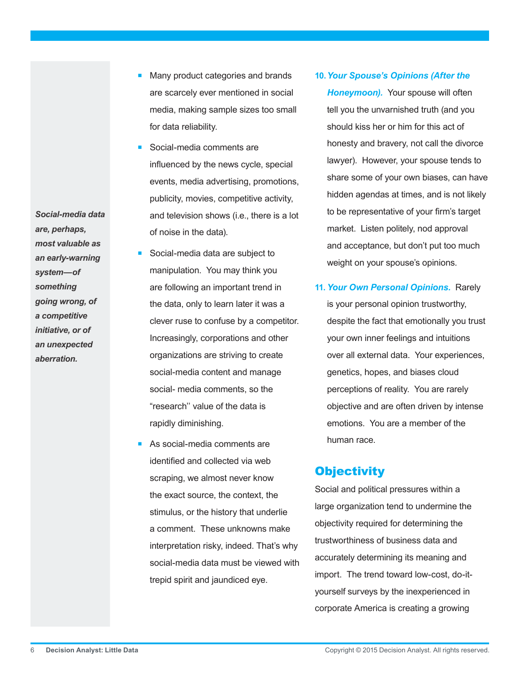- Many product categories and brands are scarcely ever mentioned in social media, making sample sizes too small for data reliability.
- Social-media comments are influenced by the news cycle, special events, media advertising, promotions, publicity, movies, competitive activity, and television shows (i.e., there is a lot of noise in the data).
- Social-media data are subject to manipulation. You may think you are following an important trend in the data, only to learn later it was a clever ruse to confuse by a competitor. Increasingly, corporations and other organizations are striving to create social-media content and manage social- media comments, so the "research'' value of the data is rapidly diminishing.
- As social-media comments are identified and collected via web scraping, we almost never know the exact source, the context, the stimulus, or the history that underlie a comment. These unknowns make interpretation risky, indeed. That's why social-media data must be viewed with trepid spirit and jaundiced eye.
- **10.***Your Spouse's Opinions (After the*  **Honeymoon)**. Your spouse will often tell you the unvarnished truth (and you should kiss her or him for this act of honesty and bravery, not call the divorce lawyer). However, your spouse tends to share some of your own biases, can have hidden agendas at times, and is not likely to be representative of your firm's target market. Listen politely, nod approval and acceptance, but don't put too much weight on your spouse's opinions.
- **11.***Your Own Personal Opinions.* Rarely is your personal opinion trustworthy, despite the fact that emotionally you trust your own inner feelings and intuitions over all external data. Your experiences, genetics, hopes, and biases cloud perceptions of reality. You are rarely objective and are often driven by intense emotions. You are a member of the human race.

# **Objectivity**

Social and political pressures within a large organization tend to undermine the objectivity required for determining the trustworthiness of business data and accurately determining its meaning and import. The trend toward low-cost, do-ityourself surveys by the inexperienced in corporate America is creating a growing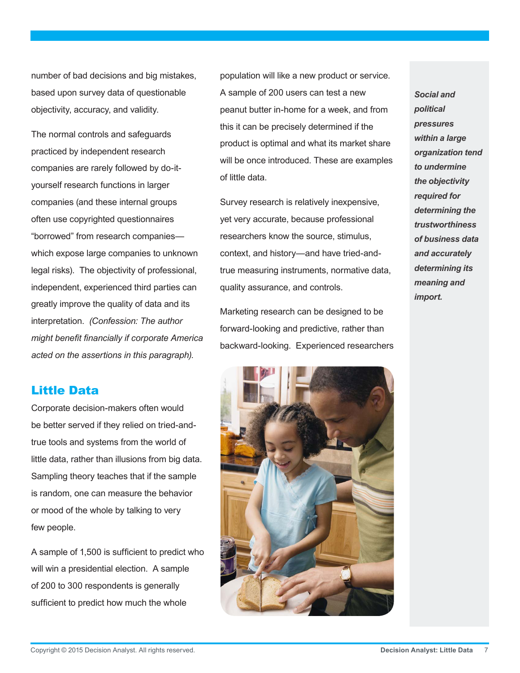number of bad decisions and big mistakes, based upon survey data of questionable objectivity, accuracy, and validity.

The normal controls and safeguards practiced by independent research companies are rarely followed by do-ityourself research functions in larger companies (and these internal groups often use copyrighted questionnaires "borrowed" from research companies which expose large companies to unknown legal risks). The objectivity of professional, independent, experienced third parties can greatly improve the quality of data and its interpretation. *(Confession: The author might benefit financially if corporate America acted on the assertions in this paragraph).*

### Little Data

Corporate decision-makers often would be better served if they relied on tried-andtrue tools and systems from the world of little data, rather than illusions from big data. Sampling theory teaches that if the sample is random, one can measure the behavior or mood of the whole by talking to very few people.

A sample of 1,500 is sufficient to predict who will win a presidential election. A sample of 200 to 300 respondents is generally sufficient to predict how much the whole

population will like a new product or service. A sample of 200 users can test a new peanut butter in-home for a week, and from this it can be precisely determined if the product is optimal and what its market share will be once introduced. These are examples of little data.

Survey research is relatively inexpensive, yet very accurate, because professional researchers know the source, stimulus, context, and history—and have tried-andtrue measuring instruments, normative data, quality assurance, and controls.

Marketing research can be designed to be forward-looking and predictive, rather than backward-looking. Experienced researchers



*Social and political pressures within a large organization tend to undermine the objectivity required for determining the trustworthiness of business data and accurately determining its meaning and import.*